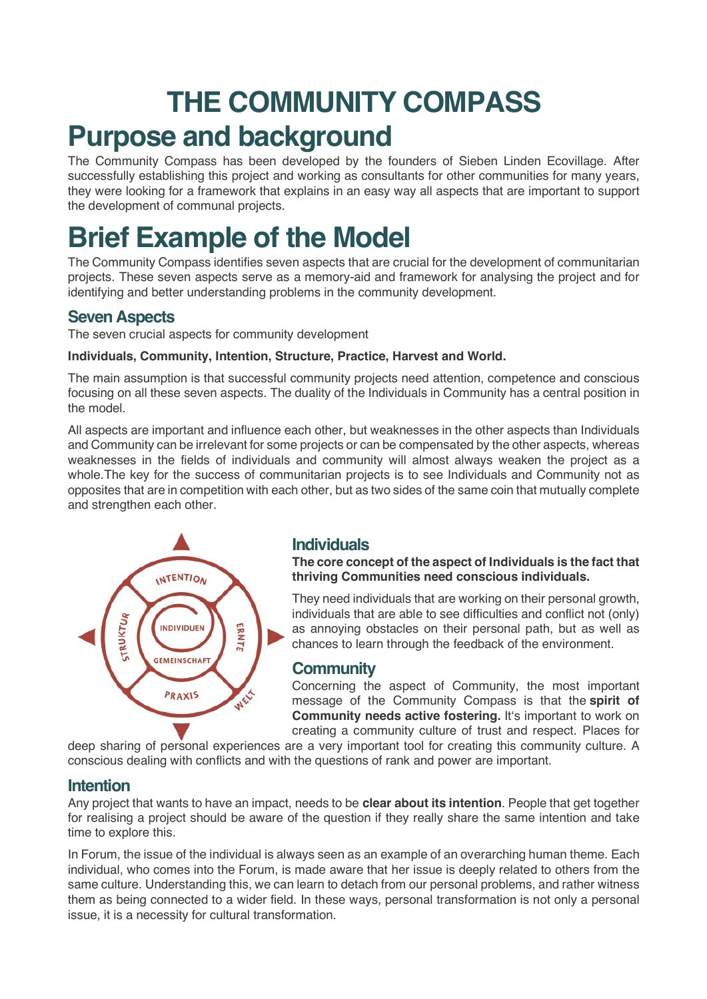# **THE COMMUNITY COMPASS Purpose and background**

The Community Compass has been developed by the founders of Sieben Linden Ecovillage. After successfully establishing this project and working as consultants for other communities for many years, they were looking for a framework that explains in an easy way all aspects that are important to support the development of communal projects.

# **Brief Example of the Model**

The Community Compass identifies seven aspects that are crucial for the development of communitarian projects. These seven aspects serve as a memory-aid and framework for analysing the project and for identifying and better understanding problems in the community development.

## **Seven Aspects**

The seven crucial aspects for community development

#### **Individuals, Community, Intention, Structure, Practice, Harvest and World.**

The main assumption is that successful community projects need attention, competence and conscious focusing on all these seven aspects. The duality of the Individuals in Community has a central position in the model.

All aspects are important and influence each other, but weaknesses in the other aspects than Individuals and Community can be irrelevant for some projects or can be compensated by the other aspects, whereas weaknesses in the fields of individuals and community will almost always weaken the project as a whole.The key for the success of communitarian projects is to see Individuals and Community not as opposites that are in competition with each other, but as two sides of the same coin that mutually complete and strengthen each other.



#### **Individuals**

**The core concept of the aspect of Individuals is the fact that thriving Communities need conscious individuals.**

They need individuals that are working on their personal growth, individuals that are able to see difficulties and conflict not (only) as annoying obstacles on their personal path, but as well as chances to learn through the feedback of the environment.

#### **Community**

Concerning the aspect of Community, the most important message of the Community Compass is that the **spirit of Community needs active fostering.** It's important to work on creating a community culture of trust and respect. Places for

deep sharing of personal experiences are a very important tool for creating this community culture. A conscious dealing with conflicts and with the questions of rank and power are important.

### **Intention**

Any project that wants to have an impact, needs to be **clear about its intention**. People that get together for realising a project should be aware of the question if they really share the same intention and take time to explore this.

In Forum, the issue of the individual is always seen as an example of an overarching human theme. Each individual, who comes into the Forum, is made aware that her issue is deeply related to others from the same culture. Understanding this, we can learn to detach from our personal problems, and rather witness them as being connected to a wider field. In these ways, personal transformation is not only a personal issue, it is a necessity for cultural transformation.